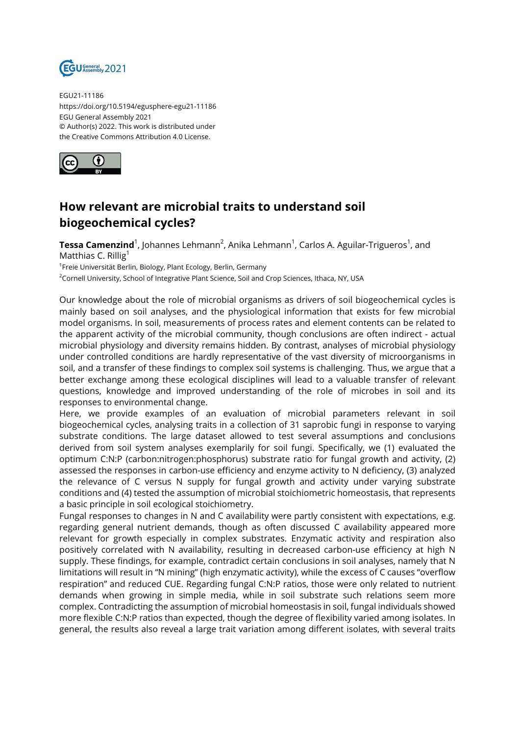

EGU21-11186 https://doi.org/10.5194/egusphere-egu21-11186 EGU General Assembly 2021 © Author(s) 2022. This work is distributed under the Creative Commons Attribution 4.0 License.



## **How relevant are microbial traits to understand soil biogeochemical cycles?**

**Tessa Camenzind**<sup>1</sup>, Johannes Lehmann<sup>2</sup>, Anika Lehmann<sup>1</sup>, Carlos A. Aguilar-Trigueros<sup>1</sup>, and Matthias C. Rillig<sup>1</sup>

<sup>1</sup>Freie Universität Berlin, Biology, Plant Ecology, Berlin, Germany

<sup>2</sup>Cornell University, School of Integrative Plant Science, Soil and Crop Sciences, Ithaca, NY, USA

Our knowledge about the role of microbial organisms as drivers of soil biogeochemical cycles is mainly based on soil analyses, and the physiological information that exists for few microbial model organisms. In soil, measurements of process rates and element contents can be related to the apparent activity of the microbial community, though conclusions are often indirect - actual microbial physiology and diversity remains hidden. By contrast, analyses of microbial physiology under controlled conditions are hardly representative of the vast diversity of microorganisms in soil, and a transfer of these findings to complex soil systems is challenging. Thus, we argue that a better exchange among these ecological disciplines will lead to a valuable transfer of relevant questions, knowledge and improved understanding of the role of microbes in soil and its responses to environmental change.

Here, we provide examples of an evaluation of microbial parameters relevant in soil biogeochemical cycles, analysing traits in a collection of 31 saprobic fungi in response to varying substrate conditions. The large dataset allowed to test several assumptions and conclusions derived from soil system analyses exemplarily for soil fungi. Specifically, we (1) evaluated the optimum C:N:P (carbon:nitrogen:phosphorus) substrate ratio for fungal growth and activity, (2) assessed the responses in carbon-use efficiency and enzyme activity to N deficiency, (3) analyzed the relevance of C versus N supply for fungal growth and activity under varying substrate conditions and (4) tested the assumption of microbial stoichiometric homeostasis, that represents a basic principle in soil ecological stoichiometry.

Fungal responses to changes in N and C availability were partly consistent with expectations, e.g. regarding general nutrient demands, though as often discussed C availability appeared more relevant for growth especially in complex substrates. Enzymatic activity and respiration also positively correlated with N availability, resulting in decreased carbon-use efficiency at high N supply. These findings, for example, contradict certain conclusions in soil analyses, namely that N limitations will result in "N mining" (high enzymatic activity), while the excess of C causes "overflow respiration" and reduced CUE. Regarding fungal C:N:P ratios, those were only related to nutrient demands when growing in simple media, while in soil substrate such relations seem more complex. Contradicting the assumption of microbial homeostasis in soil, fungal individuals showed more flexible C:N:P ratios than expected, though the degree of flexibility varied among isolates. In general, the results also reveal a large trait variation among different isolates, with several traits